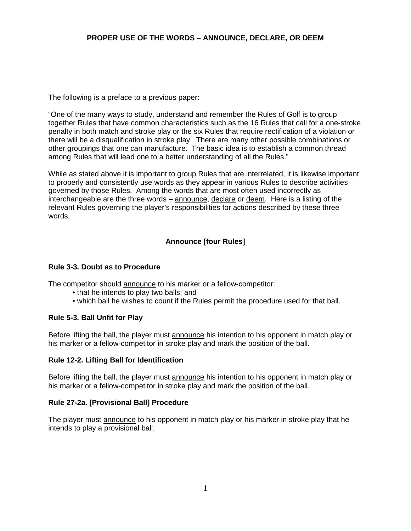# **PROPER USE OF THE WORDS – ANNOUNCE, DECLARE, OR DEEM**

The following is a preface to a previous paper:

"One of the many ways to study, understand and remember the Rules of Golf is to group together Rules that have common characteristics such as the 16 Rules that call for a one-stroke penalty in both match and stroke play or the six Rules that require rectification of a violation or there will be a disqualification in stroke play. There are many other possible combinations or other groupings that one can manufacture. The basic idea is to establish a common thread among Rules that will lead one to a better understanding of all the Rules."

While as stated above it is important to group Rules that are interrelated, it is likewise important to properly and consistently use words as they appear in various Rules to describe activities governed by those Rules. Among the words that are most often used incorrectly as interchangeable are the three words – announce, declare or deem. Here is a listing of the relevant Rules governing the player's responsibilities for actions described by these three words.

# **Announce [four Rules]**

#### **Rule 3-3. Doubt as to Procedure**

The competitor should announce to his marker or a fellow-competitor:

- that he intends to play two balls; and
- which ball he wishes to count if the Rules permit the procedure used for that ball.

# **Rule 5-3. Ball Unfit for Play**

Before lifting the ball, the player must announce his intention to his opponent in match play or his marker or a fellow-competitor in stroke play and mark the position of the ball.

#### **Rule 12-2. Lifting Ball for Identification**

Before lifting the ball, the player must announce his intention to his opponent in match play or his marker or a fellow-competitor in stroke play and mark the position of the ball.

#### **Rule 27-2a. [Provisional Ball] Procedure**

The player must announce to his opponent in match play or his marker in stroke play that he intends to play a provisional ball;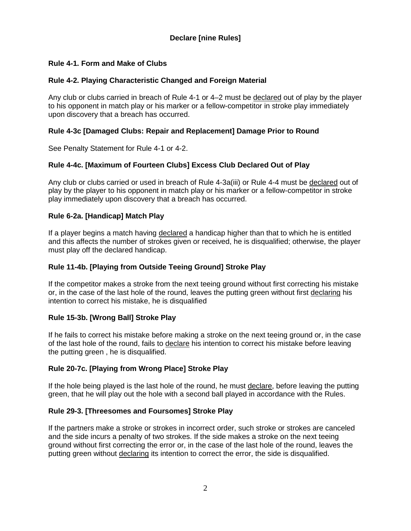# **Declare [nine Rules]**

# **Rule 4-1. Form and Make of Clubs**

# **Rule 4-2. Playing Characteristic Changed and Foreign Material**

Any club or clubs carried in breach of Rule 4-1 or 4–2 must be declared out of play by the player to his opponent in match play or his marker or a fellow-competitor in stroke play immediately upon discovery that a breach has occurred.

# **Rule 4-3c [Damaged Clubs: Repair and Replacement] Damage Prior to Round**

See Penalty Statement for Rule 4-1 or 4-2.

# **Rule 4-4c. [Maximum of Fourteen Clubs] Excess Club Declared Out of Play**

Any club or clubs carried or used in breach of Rule 4-3a(iii) or Rule 4-4 must be declared out of play by the player to his opponent in match play or his marker or a fellow-competitor in stroke play immediately upon discovery that a breach has occurred.

# **Rule 6-2a. [Handicap] Match Play**

If a player begins a match having declared a handicap higher than that to which he is entitled and this affects the number of strokes given or received, he is disqualified; otherwise, the player must play off the declared handicap.

# **Rule 11-4b. [Playing from Outside Teeing Ground] Stroke Play**

If the [competitor](http://www.usga.org/rules/rules-and-decisions.html#%21rule-14253,Competitor) makes a [stroke](http://www.usga.org/rules/rules-and-decisions.html#%21rule-14253,Stroke) from the next teeing [ground](http://www.usga.org/rules/rules-and-decisions.html#%21rule-14253,Teeing-Ground) without first correcting his mistake or, in the case of the last hole of the round, leaves the [putting](http://www.usga.org/rules/rules-and-decisions.html#%21rule-14253,Putting-Green) green without first declaring his intention to correct his mistake, he is disqualified

# **Rule 15-3b. [Wrong Ball] Stroke Play**

If he fails to correct his mistake before making a stroke on the next teeing ground or, in the case of the last hole of the round, fails to declare his intention to correct his mistake before leaving the putting green , he is disqualified.

# **Rule 20-7c. [Playing from Wrong Place] Stroke Play**

If the hole being played is the last hole of the round, he must declare, before leaving the putting green, that he will play out the hole with a second ball played in accordance with the Rules.

# **Rule 29-3. [Threesomes and Foursomes] Stroke Play**

If the [partners](http://www.usga.org/rules/rules-and-decisions.html#%21rule-14253,Partner) make a [stroke](http://www.usga.org/rules/rules-and-decisions.html#%21rule-14253,Stroke) or [strokes](http://www.usga.org/rules/rules-and-decisions.html#%21rule-14253,Stroke) in incorrect order, such [stroke](http://www.usga.org/rules/rules-and-decisions.html#%21rule-14253,Stroke) or [strokes](http://www.usga.org/rules/rules-and-decisions.html#%21rule-14253,Stroke) are canceled and the [side](http://www.usga.org/rules/rules-and-decisions.html#%21rule-14253,Side) incurs a penalty of two strokes. If the [side](http://www.usga.org/rules/rules-and-decisions.html#%21rule-14253,Side) makes a [stroke](http://www.usga.org/rules/rules-and-decisions.html#%21rule-14253,Stroke) on the next [teeing](http://www.usga.org/rules/rules-and-decisions.html#%21rule-14253,Teeing-Ground)  [ground](http://www.usga.org/rules/rules-and-decisions.html#%21rule-14253,Teeing-Ground) without first correcting the error or, in the case of the last hole of the round, leaves the [putting green](http://www.usga.org/rules/rules-and-decisions.html#%21rule-14253,Putting-Green) without declaring its intention to correct the error, the [side](http://www.usga.org/rules/rules-and-decisions.html#%21rule-14253,Side) is disqualified.